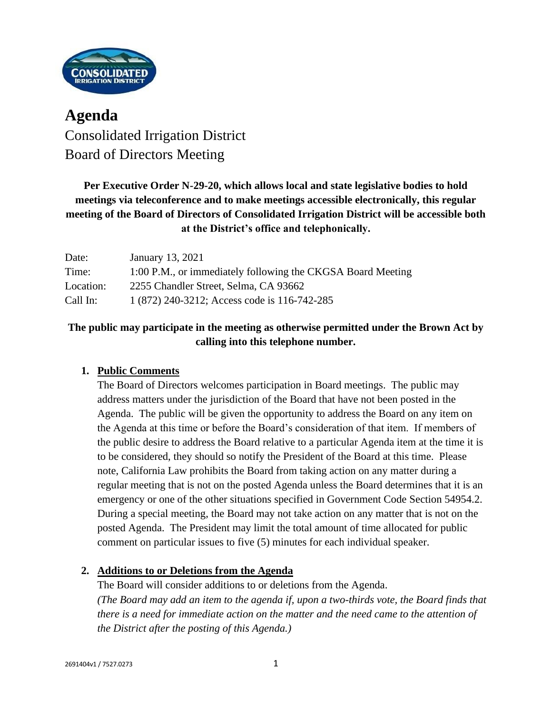

# **Agenda** Consolidated Irrigation District Board of Directors Meeting

# **Per Executive Order N-29-20, which allows local and state legislative bodies to hold meetings via teleconference and to make meetings accessible electronically, this regular meeting of the Board of Directors of Consolidated Irrigation District will be accessible both at the District's office and telephonically.**

| Date:     | January 13, 2021                                            |
|-----------|-------------------------------------------------------------|
| Time:     | 1:00 P.M., or immediately following the CKGSA Board Meeting |
| Location: | 2255 Chandler Street, Selma, CA 93662                       |
| Call In:  | 1 (872) 240-3212; Access code is 116-742-285                |

# **The public may participate in the meeting as otherwise permitted under the Brown Act by calling into this telephone number.**

# **1. Public Comments**

The Board of Directors welcomes participation in Board meetings. The public may address matters under the jurisdiction of the Board that have not been posted in the Agenda. The public will be given the opportunity to address the Board on any item on the Agenda at this time or before the Board's consideration of that item. If members of the public desire to address the Board relative to a particular Agenda item at the time it is to be considered, they should so notify the President of the Board at this time. Please note, California Law prohibits the Board from taking action on any matter during a regular meeting that is not on the posted Agenda unless the Board determines that it is an emergency or one of the other situations specified in Government Code Section 54954.2. During a special meeting, the Board may not take action on any matter that is not on the posted Agenda. The President may limit the total amount of time allocated for public comment on particular issues to five (5) minutes for each individual speaker.

### **2. Additions to or Deletions from the Agenda**

The Board will consider additions to or deletions from the Agenda. *(The Board may add an item to the agenda if, upon a two-thirds vote, the Board finds that there is a need for immediate action on the matter and the need came to the attention of the District after the posting of this Agenda.)*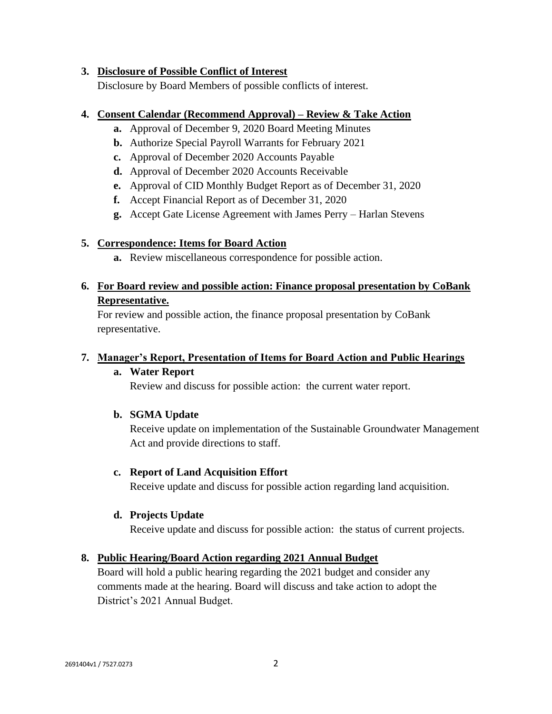#### **3. Disclosure of Possible Conflict of Interest**

Disclosure by Board Members of possible conflicts of interest.

#### **4. Consent Calendar (Recommend Approval) – Review & Take Action**

- **a.** Approval of December 9, 2020 Board Meeting Minutes
- **b.** Authorize Special Payroll Warrants for February 2021
- **c.** Approval of December 2020 Accounts Payable
- **d.** Approval of December 2020 Accounts Receivable
- **e.** Approval of CID Monthly Budget Report as of December 31, 2020
- **f.** Accept Financial Report as of December 31, 2020
- **g.** Accept Gate License Agreement with James Perry Harlan Stevens

### **5. Correspondence: Items for Board Action**

**a.** Review miscellaneous correspondence for possible action.

# **6. For Board review and possible action: Finance proposal presentation by CoBank Representative.**

For review and possible action, the finance proposal presentation by CoBank representative.

### **7. Manager's Report, Presentation of Items for Board Action and Public Hearings**

### **a. Water Report**

Review and discuss for possible action: the current water report.

### **b. SGMA Update**

Receive update on implementation of the Sustainable Groundwater Management Act and provide directions to staff.

### **c. Report of Land Acquisition Effort**

Receive update and discuss for possible action regarding land acquisition.

### **d. Projects Update**

Receive update and discuss for possible action: the status of current projects.

### **8. Public Hearing/Board Action regarding 2021 Annual Budget**

Board will hold a public hearing regarding the 2021 budget and consider any comments made at the hearing. Board will discuss and take action to adopt the District's 2021 Annual Budget.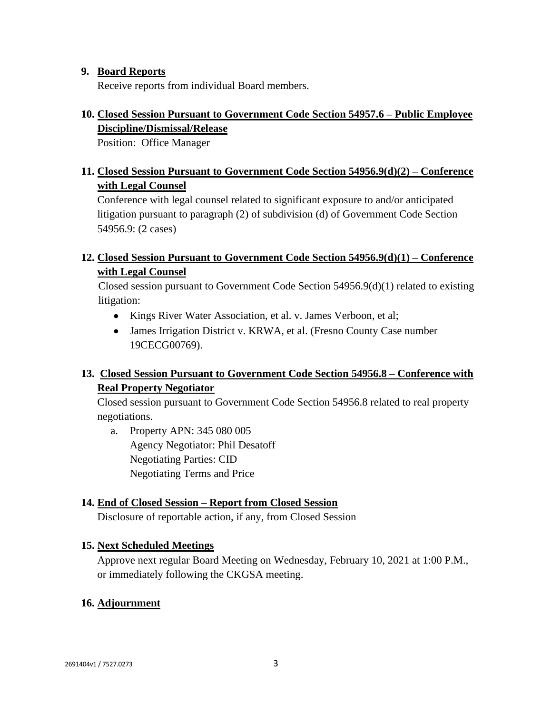#### **9. Board Reports**

Receive reports from individual Board members.

# **10. Closed Session Pursuant to Government Code Section 54957.6 – Public Employee Discipline/Dismissal/Release**

Position: Office Manager

# **11. Closed Session Pursuant to Government Code Section 54956.9(d)(2) – Conference with Legal Counsel**

Conference with legal counsel related to significant exposure to and/or anticipated litigation pursuant to paragraph (2) of subdivision (d) of Government Code Section 54956.9: (2 cases)

## **12. Closed Session Pursuant to Government Code Section 54956.9(d)(1) – Conference with Legal Counsel**

Closed session pursuant to Government Code Section 54956.9(d)(1) related to existing litigation:

- Kings River Water Association, et al. v. James Verboon, et al;
- James Irrigation District v. KRWA, et al. (Fresno County Case number 19CECG00769).

# **13. Closed Session Pursuant to Government Code Section 54956.8 – Conference with Real Property Negotiator**

Closed session pursuant to Government Code Section 54956.8 related to real property negotiations.

a. Property APN: 345 080 005 Agency Negotiator: Phil Desatoff Negotiating Parties: CID Negotiating Terms and Price

# **14. End of Closed Session – Report from Closed Session**

Disclosure of reportable action, if any, from Closed Session

### **15. Next Scheduled Meetings**

Approve next regular Board Meeting on Wednesday, February 10, 2021 at 1:00 P.M., or immediately following the CKGSA meeting.

### **16. Adjournment**